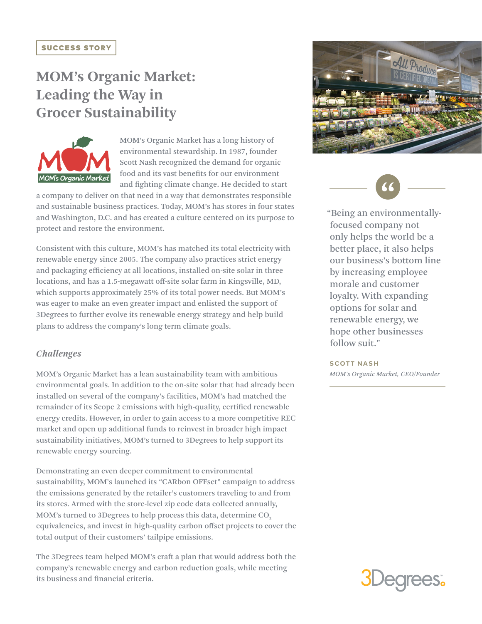# **MOM's Organic Market: Leading the Way in Grocer Sustainability**



MOM's Organic Market has a long history of environmental stewardship. In 1987, founder Scott Nash recognized the demand for organic food and its vast benefits for our environment and fighting climate change. He decided to start

a company to deliver on that need in a way that demonstrates responsible and sustainable business practices. Today, MOM's has stores in four states and Washington, D.C. and has created a culture centered on its purpose to protect and restore the environment.

Consistent with this culture, MOM's has matched its total electricity with renewable energy since 2005. The company also practices strict energy and packaging efficiency at all locations, installed on-site solar in three locations, and has a 1.5-megawatt off-site solar farm in Kingsville, MD, which supports approximately 25% of its total power needs. But MOM's was eager to make an even greater impact and enlisted the support of 3Degrees to further evolve its renewable energy strategy and help build plans to address the company's long term climate goals.

### *Challenges*

MOM's Organic Market has a lean sustainability team with ambitious environmental goals. In addition to the on-site solar that had already been installed on several of the company's facilities, MOM's had matched the remainder of its Scope 2 emissions with high-quality, certified renewable energy credits. However, in order to gain access to a more competitive REC market and open up additional funds to reinvest in broader high impact sustainability initiatives, MOM's turned to 3Degrees to help support its renewable energy sourcing.

Demonstrating an even deeper commitment to environmental sustainability, MOM's launched its "CARbon OFFset" campaign to address the emissions generated by the retailer's customers traveling to and from its stores. Armed with the store-level zip code data collected annually, MOM's turned to 3Degrees to help process this data, determine CO<sub>2</sub> equivalencies, and invest in high-quality carbon offset projects to cover the total output of their customers' tailpipe emissions.

The 3Degrees team helped MOM's craft a plan that would address both the company's renewable energy and carbon reduction goals, while meeting its business and financial criteria.





"Being an environmentallyfocused company not only helps the world be a better place, it also helps our business's bottom line by increasing employee morale and customer loyalty. With expanding options for solar and renewable energy, we hope other businesses follow suit."

**SCOTT NASH** *MOM's Organic Market, CEO/Founder*